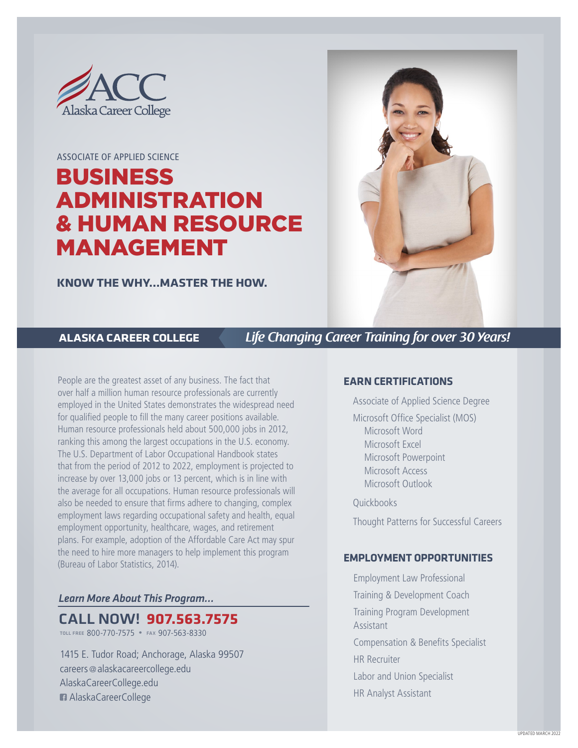

#### ASSOCIATE OF APPLIED SCIENCE

# BUSINESS ADMINISTRATION & HUMAN RESOURCE MANAGEMENT

**KNOW THE WHY…MASTER THE HOW.**



**ALASKA CAREER COLLEGE** *Life Changing Career Training for over 30 Years!*

People are the greatest asset of any business. The fact that over half a million human resource professionals are currently employed in the United States demonstrates the widespread need for qualified people to fill the many career positions available. Human resource professionals held about 500,000 jobs in 2012, ranking this among the largest occupations in the U.S. economy. The U.S. Department of Labor Occupational Handbook states that from the period of 2012 to 2022, employment is projected to increase by over 13,000 jobs or 13 percent, which is in line with the average for all occupations. Human resource professionals will also be needed to ensure that firms adhere to changing, complex employment laws regarding occupational safety and health, equal employment opportunity, healthcare, wages, and retirement plans. For example, adoption of the Affordable Care Act may spur the need to hire more managers to help implement this program (Bureau of Labor Statistics, 2014).

#### *Learn More About This Program…*

CALL NOW! **907.563.7575**

toll free 800-770-7575 • fax 907-563-8330

1415 E. Tudor Road; Anchorage, Alaska 99507 careers @alaskacareercollege.edu AlaskaCareerCollege.edu AlaskaCareerCollege

#### **EARN CERTIFICATIONS**

Associate of Applied Science Degree

Microsoft Office Specialist (MOS) Microsoft Word Microsoft Excel Microsoft Powerpoint Microsoft Access Microsoft Outlook

**Ouickbooks** 

Thought Patterns for Successful Careers

#### **EMPLOYMENT OPPORTUNITIES**

Employment Law Professional Training & Development Coach Training Program Development Assistant Compensation & Benefits Specialist HR Recruiter Labor and Union Specialist HR Analyst Assistant